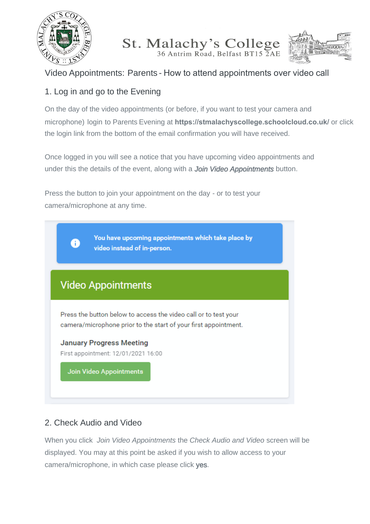

# St. Malachy's College



## Video Appointments: Parents - How to attend appointments over video call

## 1. Log in and go to the Evening

On the day of the video appointments (or before, if you want to test your camera and microphone) login to Parents Evening at **https://stmalachyscollege.schoolcloud.co.uk/** or click the login link from the bottom of the email confirmation you will have received.

Once logged in you will see a notice that you have upcoming video appointments and under this the details of the event, along with a *Join Video Appointments* button.

Press the button to join your appointment on the day - or to test your camera/microphone at any time.



### 2. Check Audio and Video

When you click *Join Video Appointments* the *Check Audio and Video* screen will be displayed. You may at this point be asked if you wish to allow access to your camera/microphone, in which case please click yes.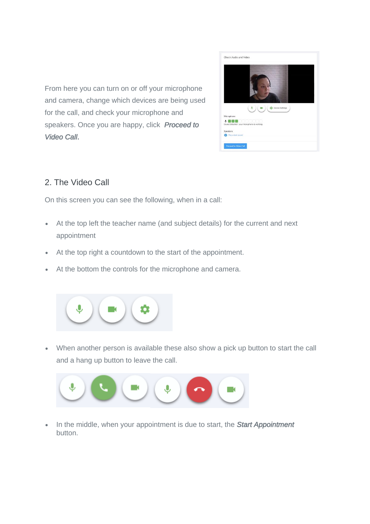



#### 2. The Video Call

On this screen you can see the following, when in a call:

- At the top left the teacher name (and subject details) for the current and next appointment
- At the top right a countdown to the start of the appointment.
- At the bottom the controls for the microphone and camera.



 When another person is available these also show a pick up button to start the call and a hang up button to leave the call.



. In the middle, when your appointment is due to start, the **Start Appointment** button.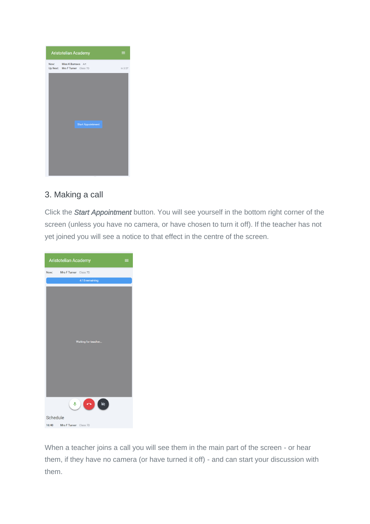

#### 3. Making a call

Click the *Start Appointment* button. You will see yourself in the bottom right corner of the screen (unless you have no camera, or have chosen to turn it off). If the teacher has not yet joined you will see a notice to that effect in the centre of the screen.

| Aristotelian Academy<br>≡      |                                                                         |  |
|--------------------------------|-------------------------------------------------------------------------|--|
| Now:                           | Mrs F Turner Class 7D                                                   |  |
|                                | 4:15 remaining                                                          |  |
|                                | Waiting for teacher                                                     |  |
|                                | $\left( \begin{array}{c} 0 \\ 0 \end{array} \right)$<br>$\bullet$<br>N. |  |
| Schedule                       |                                                                         |  |
| 16:40<br>Mrs F Turner Class 7D |                                                                         |  |

When a teacher joins a call you will see them in the main part of the screen - or hear them, if they have no camera (or have turned it off) - and can start your discussion with them.